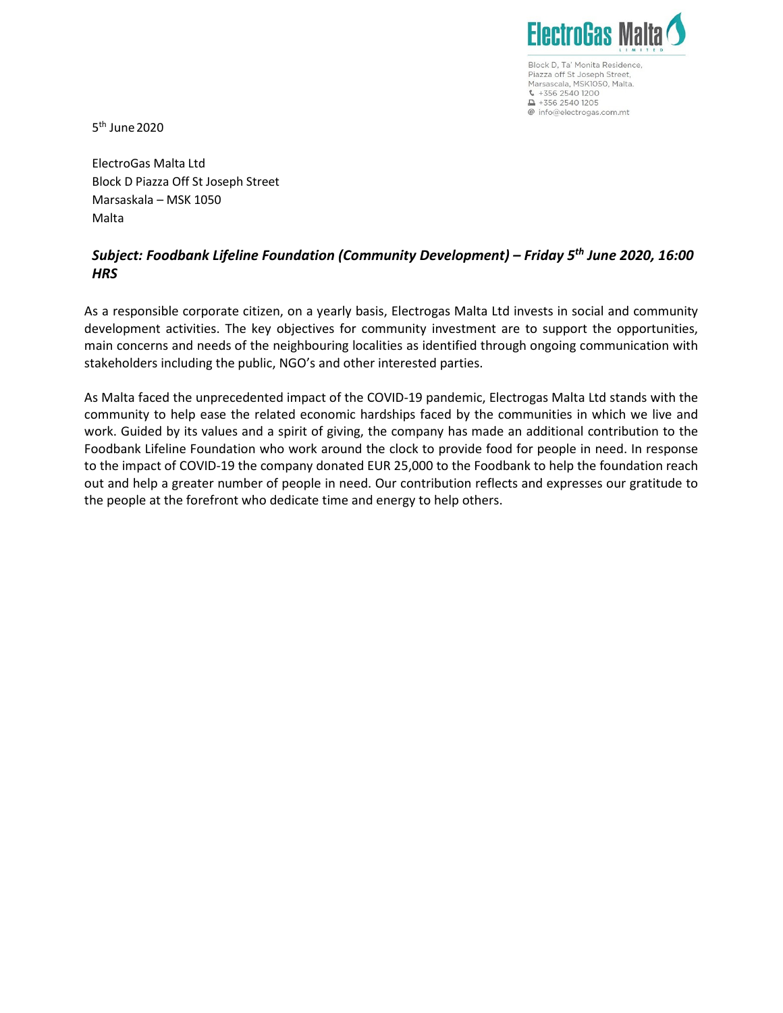

Block D, Ta' Monita Residence, Piazza off St Joseph Street, Marsascala, MSK1050, Malta.  $\frac{1}{2}$  +356 2540 1200  $\triangle$  +356 2540 1205 @ info@electrogas.com.mt

5 th June 2020

ElectroGas Malta Ltd Block D Piazza Off St Joseph Street Marsaskala – MSK 1050 Malta

## Subject: Foodbank Lifeline Foundation (Community Development) – Friday 5<sup>th</sup> June 2020, 16:00 **HRS**

As a responsible corporate citizen, on a yearly basis, Electrogas Malta Ltd invests in social and community development activities. The key objectives for community investment are to support the opportunities, main concerns and needs of the neighbouring localities as identified through ongoing communication with stakeholders including the public, NGO's and other interested parties.

As Malta faced the unprecedented impact of the COVID-19 pandemic, Electrogas Malta Ltd stands with the community to help ease the related economic hardships faced by the communities in which we live and work. Guided by its values and a spirit of giving, the company has made an additional contribution to the Foodbank Lifeline Foundation who work around the clock to provide food for people in need. In response to the impact of COVID-19 the company donated EUR 25,000 to the Foodbank to help the foundation reach out and help a greater number of people in need. Our contribution reflects and expresses our gratitude to the people at the forefront who dedicate time and energy to help others.